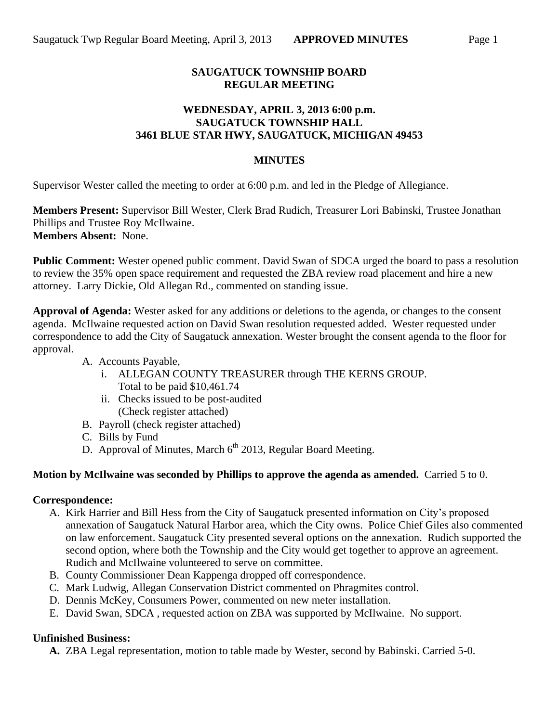## **SAUGATUCK TOWNSHIP BOARD REGULAR MEETING**

## **WEDNESDAY, APRIL 3, 2013 6:00 p.m. SAUGATUCK TOWNSHIP HALL 3461 BLUE STAR HWY, SAUGATUCK, MICHIGAN 49453**

## **MINUTES**

Supervisor Wester called the meeting to order at 6:00 p.m. and led in the Pledge of Allegiance.

**Members Present:** Supervisor Bill Wester, Clerk Brad Rudich, Treasurer Lori Babinski, Trustee Jonathan Phillips and Trustee Roy McIlwaine. **Members Absent:** None.

**Public Comment:** Wester opened public comment. David Swan of SDCA urged the board to pass a resolution to review the 35% open space requirement and requested the ZBA review road placement and hire a new attorney. Larry Dickie, Old Allegan Rd., commented on standing issue.

**Approval of Agenda:** Wester asked for any additions or deletions to the agenda, or changes to the consent agenda. McIlwaine requested action on David Swan resolution requested added. Wester requested under correspondence to add the City of Saugatuck annexation. Wester brought the consent agenda to the floor for approval.

- A. Accounts Payable,
	- i. ALLEGAN COUNTY TREASURER through THE KERNS GROUP. Total to be paid \$10,461.74
	- ii. Checks issued to be post-audited (Check register attached)
- B. Payroll (check register attached)
- C. Bills by Fund
- D. Approval of Minutes, March  $6<sup>th</sup>$  2013, Regular Board Meeting.

## **Motion by McIlwaine was seconded by Phillips to approve the agenda as amended.** Carried 5 to 0.

#### **Correspondence:**

- A. Kirk Harrier and Bill Hess from the City of Saugatuck presented information on City's proposed annexation of Saugatuck Natural Harbor area, which the City owns. Police Chief Giles also commented on law enforcement. Saugatuck City presented several options on the annexation. Rudich supported the second option, where both the Township and the City would get together to approve an agreement. Rudich and McIlwaine volunteered to serve on committee.
- B. County Commissioner Dean Kappenga dropped off correspondence.
- C. Mark Ludwig, Allegan Conservation District commented on Phragmites control.
- D. Dennis McKey, Consumers Power, commented on new meter installation.
- E. David Swan, SDCA , requested action on ZBA was supported by McIlwaine. No support.

## **Unfinished Business:**

**A.** ZBA Legal representation, motion to table made by Wester, second by Babinski. Carried 5-0.